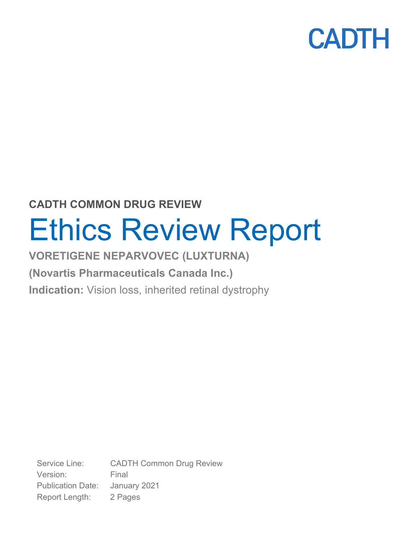### **CADTH COMMON DRUG REVIEW**

# Ethics Review Report

### **VORETIGENE NEPARVOVEC (LUXTURNA)**

### **(Novartis Pharmaceuticals Canada Inc.)**

**Indication:** Vision loss, inherited retinal dystrophy

Service Line: CADTH Common Drug Review Version: Final Publication Date: January 2021 Report Length: 2 Pages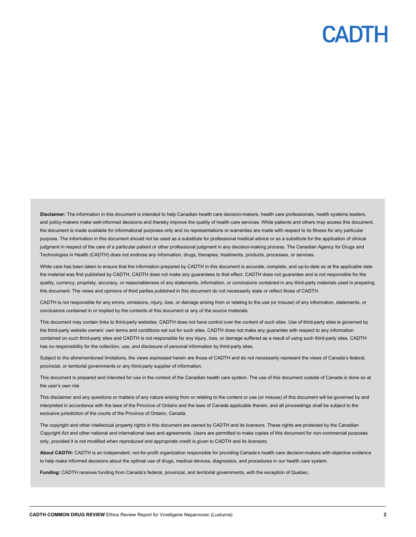### CANTH

**Disclaimer:** The information in this document is intended to help Canadian health care decision-makers, health care professionals, health systems leaders, and policy-makers make well-informed decisions and thereby improve the quality of health care services. While patients and others may access this document, the document is made available for informational purposes only and no representations or warranties are made with respect to its fitness for any particular purpose. The information in this document should not be used as a substitute for professional medical advice or as a substitute for the application of clinical judgment in respect of the care of a particular patient or other professional judgment in any decision-making process. The Canadian Agency for Drugs and Technologies in Health (CADTH) does not endorse any information, drugs, therapies, treatments, products, processes, or services.

While care has been taken to ensure that the information prepared by CADTH in this document is accurate, complete, and up-to-date as at the applicable date the material was first published by CADTH, CADTH does not make any guarantees to that effect. CADTH does not guarantee and is not responsible for the quality, currency, propriety, accuracy, or reasonableness of any statements, information, or conclusions contained in any third-party materials used in preparing this document. The views and opinions of third parties published in this document do not necessarily state or reflect those of CADTH.

CADTH is not responsible for any errors, omissions, injury, loss, or damage arising from or relating to the use (or misuse) of any information, statements, or conclusions contained in or implied by the contents of this document or any of the source materials.

This document may contain links to third-party websites. CADTH does not have control over the content of such sites. Use of third-party sites is governed by the third-party website owners' own terms and conditions set out for such sites. CADTH does not make any guarantee with respect to any information contained on such third-party sites and CADTH is not responsible for any injury, loss, or damage suffered as a result of using such third-party sites. CADTH has no responsibility for the collection, use, and disclosure of personal information by third-party sites.

Subject to the aforementioned limitations, the views expressed herein are those of CADTH and do not necessarily represent the views of Canada's federal, provincial, or territorial governments or any third-party supplier of information.

This document is prepared and intended for use in the context of the Canadian health care system. The use of this document outside of Canada is done so at the user's own risk.

This disclaimer and any questions or matters of any nature arising from or relating to the content or use (or misuse) of this document will be governed by and interpreted in accordance with the laws of the Province of Ontario and the laws of Canada applicable therein, and all proceedings shall be subject to the exclusive jurisdiction of the courts of the Province of Ontario, Canada.

The copyright and other intellectual property rights in this document are owned by CADTH and its licensors. These rights are protected by the Canadian *Copyright Act* and other national and international laws and agreements. Users are permitted to make copies of this document for non-commercial purposes only, provided it is not modified when reproduced and appropriate credit is given to CADTH and its licensors.

**About CADTH:** CADTH is an independent, not-for-profit organization responsible for providing Canada's health care decision-makers with objective evidence to help make informed decisions about the optimal use of drugs, medical devices, diagnostics, and procedures in our health care system.

**Funding:** CADTH receives funding from Canada's federal, provincial, and territorial governments, with the exception of Quebec.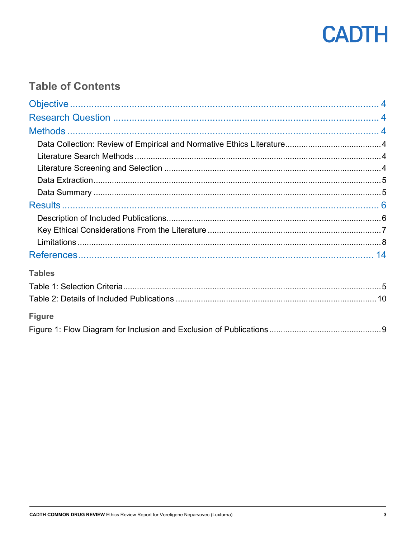

### **Table of Contents**

| <b>Tables</b> |  |
|---------------|--|
|               |  |
|               |  |
| <b>Figure</b> |  |
|               |  |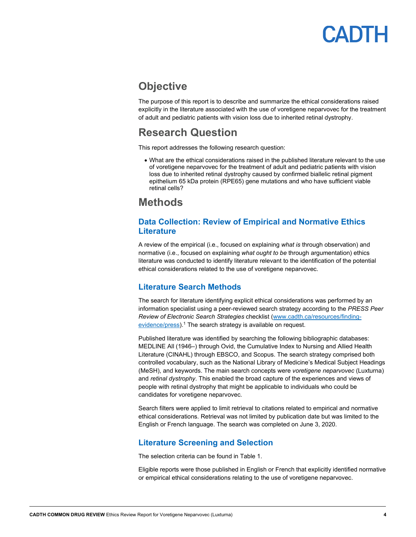### <span id="page-3-0"></span>**Objective**

The purpose of this report is to describe and summarize the ethical considerations raised explicitly in the literature associated with the use of voretigene neparvovec for the treatment of adult and pediatric patients with vision loss due to inherited retinal dystrophy.

### <span id="page-3-1"></span>**Research Question**

This report addresses the following research question:

• What are the ethical considerations raised in the published literature relevant to the use of voretigene neparvovec for the treatment of adult and pediatric patients with vision loss due to inherited retinal dystrophy caused by confirmed biallelic retinal pigment epithelium 65 kDa protein (RPE65) gene mutations and who have sufficient viable retinal cells?

### <span id="page-3-2"></span>**Methods**

#### <span id="page-3-3"></span>**Data Collection: Review of Empirical and Normative Ethics Literature**

A review of the empirical (i.e., focused on explaining *what is* through observation) and normative (i.e., focused on explaining *what ought to be* through argumentation) ethics literature was conducted to identify literature relevant to the identification of the potential ethical considerations related to the use of voretigene neparvovec.

#### <span id="page-3-4"></span>**Literature Search Methods**

The search for literature identifying explicit ethical considerations was performed by an information specialist using a peer-reviewed search strategy according to the *PRESS Peer Review of Electronic Search Strategies* checklist [\(www.cadth.ca/resources/finding](https://www.cadth.ca/resources/finding-evidence/press)[evidence/press\)](https://www.cadth.ca/resources/finding-evidence/press).<sup>1</sup> The search strategy is available on request.

Published literature was identified by searching the following bibliographic databases: MEDLINE All (1946-) through Ovid, the Cumulative Index to Nursing and Allied Health Literature (CINAHL) through EBSCO, and Scopus. The search strategy comprised both controlled vocabulary, such as the National Library of Medicine's Medical Subject Headings (MeSH), and keywords. The main search concepts were *voretigene neparvovec* (Luxturna) and *retinal dystrophy*. This enabled the broad capture of the experiences and views of people with retinal dystrophy that might be applicable to individuals who could be candidates for voretigene neparvovec.

Search filters were applied to limit retrieval to citations related to empirical and normative ethical considerations. Retrieval was not limited by publication date but was limited to the English or French language. The search was completed on June 3, 2020.

#### <span id="page-3-5"></span>**Literature Screening and Selection**

The selection criteria can be found in [Table 1.](#page-4-2)

Eligible reports were those published in English or French that explicitly identified normative or empirical ethical considerations relating to the use of voretigene neparvovec.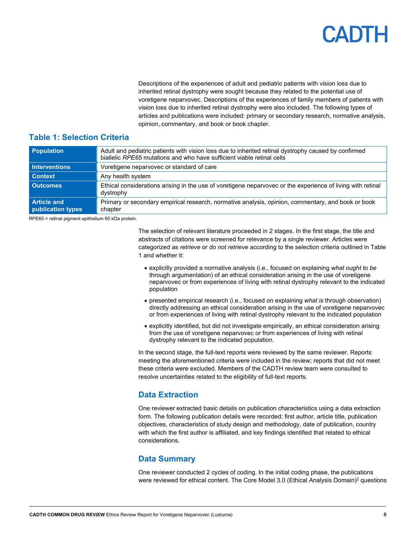## CADIH

Descriptions of the experiences of adult and pediatric patients with vision loss due to inherited retinal dystrophy were sought because they related to the potential use of voretigene neparvovec. Descriptions of the experiences of family members of patients with vision loss due to inherited retinal dystrophy were also included. The following types of articles and publications were included: primary or secondary research, normative analysis, opinion, commentary, and book or book chapter.

#### <span id="page-4-2"></span>**Table 1: Selection Criteria**

| Population                              | Adult and pediatric patients with vision loss due to inherited retinal dystrophy caused by confirmed<br>biallelic RPE65 mutations and who have sufficient viable retinal cells |
|-----------------------------------------|--------------------------------------------------------------------------------------------------------------------------------------------------------------------------------|
| <b>Interventions</b>                    | Voretigene neparvovec or standard of care                                                                                                                                      |
| <b>Context</b>                          | Any health system                                                                                                                                                              |
| <b>Outcomes</b>                         | Ethical considerations arising in the use of voretigene neparvovec or the experience of living with retinal<br>dystrophy                                                       |
| <b>Article and</b><br>publication types | Primary or secondary empirical research, normative analysis, opinion, commentary, and book or book<br>chapter                                                                  |

RPE65 = retinal pigment epithelium 65 kDa protein.

The selection of relevant literature proceeded in 2 stages. In the first stage, the title and abstracts of citations were screened for relevance by a single reviewer. Articles were categorized as *retrieve* or *do not retrieve* according to the selection criteria outlined i[n Table](#page-4-2)  [1](#page-4-2) and whether it:

- explicitly provided a normative analysis (i.e., focused on explaining *what ought to be* through argumentation) of an ethical consideration arising in the use of voretigene neparvovec or from experiences of living with retinal dystrophy relevant to the indicated population
- presented empirical research (i.e., focused on explaining *what is* through observation) directly addressing an ethical consideration arising in the use of voretigene neparvovec or from experiences of living with retinal dystrophy relevant to the indicated population
- explicitly identified, but did not investigate empirically, an ethical consideration arising from the use of voretigene neparvovec or from experiences of living with retinal dystrophy relevant to the indicated population.

In the second stage, the full-text reports were reviewed by the same reviewer. Reports meeting the aforementioned criteria were included in the review; reports that did not meet these criteria were excluded. Members of the CADTH review team were consulted to resolve uncertainties related to the eligibility of full-text reports.

#### <span id="page-4-0"></span>**Data Extraction**

One reviewer extracted basic details on publication characteristics using a data extraction form. The following publication details were recorded: first author, article title, publication objectives, characteristics of study design and methodology, date of publication, country with which the first author is affiliated, and key findings identified that related to ethical considerations.

#### <span id="page-4-1"></span>**Data Summary**

One reviewer conducted 2 cycles of coding. In the initial coding phase, the publications were reviewed for ethical content. The [Core Model 3.0 \(Ethical Analysis](https://eunethta.eu/wp-content/uploads/2018/03/HTACoreModel3.0-1.pdf) Domain)<sup>2</sup> questions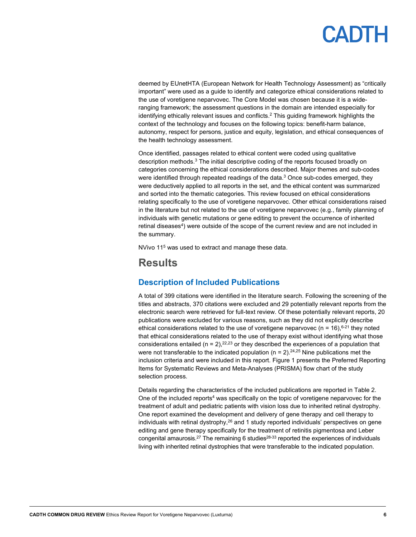## CANTH

deemed by EUnetHTA (European Network for Health Technology Assessment) as "critically important" were used as a guide to identify and categorize ethical considerations related to the use of voretigene neparvovec. The Core Model was chosen because it is a wideranging framework; the assessment questions in the domain are intended especially for identifying ethically relevant issues and conflicts.<sup>2</sup> This guiding framework highlights the context of the technology and focuses on the following topics: benefit-harm balance, autonomy, respect for persons, justice and equity, legislation, and ethical consequences of the health technology assessment.

Once identified, passages related to ethical content were coded using qualitative description methods.<sup>3</sup> The initial descriptive coding of the reports focused broadly on categories concerning the ethical considerations described. Major themes and sub-codes were identified through repeated readings of the data. $3$  Once sub-codes emerged, they were deductively applied to all reports in the set, and the ethical content was summarized and sorted into the thematic categories. This review focused on ethical considerations relating specifically to the use of voretigene neparvovec. Other ethical considerations raised in the literature but not related to the use of voretigene neparvovec (e.g., family planning of individuals with genetic mutations or gene editing to prevent the occurrence of inherited retinal diseases<sup>4</sup>) were outside of the scope of the current review and are not included in the summary.

NVivo 115 was used to extract and manage these data.

### <span id="page-5-0"></span>**Results**

#### <span id="page-5-1"></span>**Description of Included Publications**

A total of 399 citations were identified in the literature search. Following the screening of the titles and abstracts, 370 citations were excluded and 29 potentially relevant reports from the electronic search were retrieved for full-text review. Of these potentially relevant reports, 20 publications were excluded for various reasons, such as they did not explicitly describe ethical considerations related to the use of voretigene neparvovec (n = 16), $6-21$  they noted that ethical considerations related to the use of therapy exist without identifying what those considerations entailed ( $n = 2$ ),  $2^{2.23}$  or they described the experiences of a population that were not transferable to the indicated population (n = 2). $^{24,25}$  Nine publications met the inclusion criteria and were included in this report. [Figure 1](#page-8-0) presents the Preferred Reporting Items for Systematic Reviews and Meta-Analyses (PRISMA) flow chart of the study selection process.

Details regarding the characteristics of the included publications are reported i[n Table 2.](#page-9-0) One of the included reports<sup>4</sup> was specifically on the topic of voretigene neparvovec for the treatment of adult and pediatric patients with vision loss due to inherited retinal dystrophy. One report examined the development and delivery of gene therapy and cell therapy to individuals with retinal dystrophy,<sup>26</sup> and 1 study reported individuals' perspectives on gene editing and gene therapy specifically for the treatment of retinitis pigmentosa and Leber congenital amaurosis.<sup>27</sup> The remaining 6 studies<sup>28-33</sup> reported the experiences of individuals living with inherited retinal dystrophies that were transferable to the indicated population.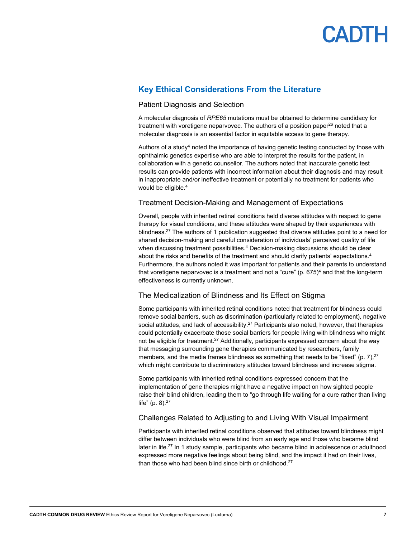

#### <span id="page-6-0"></span>**Key Ethical Considerations From the Literature**

#### Patient Diagnosis and Selection

A molecular diagnosis of *RPE65* mutations must be obtained to determine candidacy for treatment with voretigene neparvovec. The authors of a position paper<sup>26</sup> noted that a molecular diagnosis is an essential factor in equitable access to gene therapy.

Authors of a study<sup>4</sup> noted the importance of having genetic testing conducted by those with ophthalmic genetics expertise who are able to interpret the results for the patient, in collaboration with a genetic counsellor. The authors noted that inaccurate genetic test results can provide patients with incorrect information about their diagnosis and may result in inappropriate and/or ineffective treatment or potentially no treatment for patients who would be eligible. 4

#### Treatment Decision-Making and Management of Expectations

Overall, people with inherited retinal conditions held diverse attitudes with respect to gene therapy for visual conditions, and these attitudes were shaped by their experiences with blindness.<sup>27</sup> The authors of 1 publication suggested that diverse attitudes point to a need for shared decision-making and careful consideration of individuals' perceived quality of life when discussing treatment possibilities. <sup>4</sup> Decision-making discussions should be clear about the risks and benefits of the treatment and should clarify patients' expectations.4 Furthermore, the authors noted it was important for patients and their parents to understand that voretigene neparvovec is a treatment and not a "cure" (p.  $675$ )<sup>4</sup> and that the long-term effectiveness is currently unknown.

#### The Medicalization of Blindness and Its Effect on Stigma

Some participants with inherited retinal conditions noted that treatment for blindness could remove social barriers, such as discrimination (particularly related to employment), negative social attitudes, and lack of accessibility.<sup>27</sup> Participants also noted, however, that therapies could potentially exacerbate those social barriers for people living with blindness who might not be eligible for treatment.<sup>27</sup> Additionally, participants expressed concern about the way that messaging surrounding gene therapies communicated by researchers, family members, and the media frames blindness as something that needs to be "fixed" (p. 7),<sup>27</sup> which might contribute to discriminatory attitudes toward blindness and increase stigma.

Some participants with inherited retinal conditions expressed concern that the implementation of gene therapies might have a negative impact on how sighted people raise their blind children, leading them to "go through life waiting for a cure rather than living life" (p. 8). 27

#### Challenges Related to Adjusting to and Living With Visual Impairment

Participants with inherited retinal conditions observed that attitudes toward blindness might differ between individuals who were blind from an early age and those who became blind later in life.<sup>27</sup> In 1 study sample, participants who became blind in adolescence or adulthood expressed more negative feelings about being blind, and the impact it had on their lives, than those who had been blind since birth or childhood.<sup>27</sup>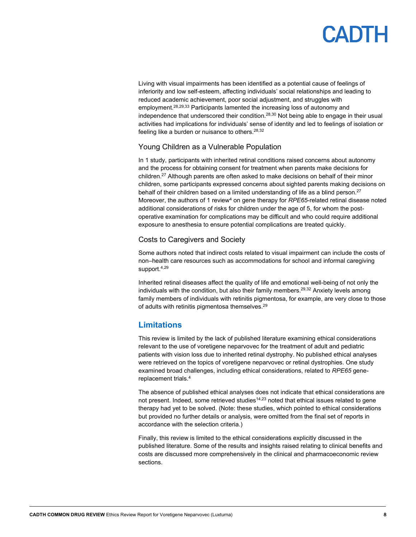## **ADTH**

Living with visual impairments has been identified as a potential cause of feelings of inferiority and low self-esteem, affecting individuals' social relationships and leading to reduced academic achievement, poor social adjustment, and struggles with employment. 28,29,33 Participants lamented the increasing loss of autonomy and independence that underscored their condition.<sup>28,30</sup> Not being able to engage in their usual activities had implications for individuals' sense of identity and led to feelings of isolation or feeling like a burden or nuisance to others.<sup>28,32</sup>

#### Young Children as a Vulnerable Population

In 1 study, participants with inherited retinal conditions raised concerns about autonomy and the process for obtaining consent for treatment when parents make decisions for children.27 Although parents are often asked to make decisions on behalf of their minor children, some participants expressed concerns about sighted parents making decisions on behalf of their children based on a limited understanding of life as a blind person.<sup>27</sup> Moreover, the authors of 1 review<sup>4</sup> on gene therapy for *RPE65*-related retinal disease noted additional considerations of risks for children under the age of 5, for whom the postoperative examination for complications may be difficult and who could require additional exposure to anesthesia to ensure potential complications are treated quickly.

#### Costs to Caregivers and Society

Some authors noted that indirect costs related to visual impairment can include the costs of non–health care resources such as accommodations for school and informal caregiving support. 4,29

Inherited retinal diseases affect the quality of life and emotional well-being of not only the individuals with the condition, but also their family members.<sup>29,32</sup> Anxiety levels among family members of individuals with retinitis pigmentosa, for example, are very close to those of adults with retinitis pigmentosa themselves.<sup>29</sup>

#### <span id="page-7-0"></span>**Limitations**

This review is limited by the lack of published literature examining ethical considerations relevant to the use of voretigene neparvovec for the treatment of adult and pediatric patients with vision loss due to inherited retinal dystrophy. No published ethical analyses were retrieved on the topics of voretigene neparvovec or retinal dystrophies. One study examined broad challenges, including ethical considerations, related to *RPE65* genereplacement trials.4

The absence of published ethical analyses does not indicate that ethical considerations are not present. Indeed, some retrieved studies<sup>14,23</sup> noted that ethical issues related to gene therapy had yet to be solved. (Note: these studies, which pointed to ethical considerations but provided no further details or analysis, were omitted from the final set of reports in accordance with the selection criteria.)

Finally, this review is limited to the ethical considerations explicitly discussed in the published literature. Some of the results and insights raised relating to clinical benefits and costs are discussed more comprehensively in the clinical and pharmacoeconomic review sections.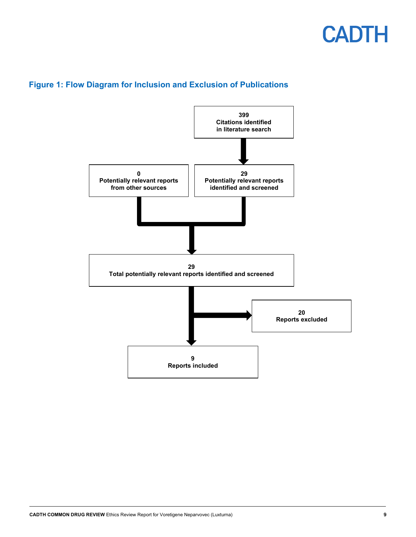

#### <span id="page-8-0"></span>**Figure 1: Flow Diagram for Inclusion and Exclusion of Publications**

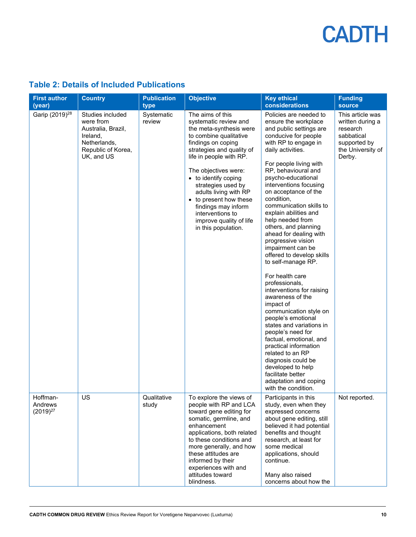| <b>First author</b><br>(year)        | <b>Country</b>                                                                                                      | <b>Publication</b><br>type | <b>Objective</b>                                                                                                                                                                                                                                                                                                                                                                                   | <b>Key ethical</b><br>considerations                                                                                                                                                                                                                                                                                                                                                                                                                                                                                                                                                                                                                                                                                                                                                                                                                                                                      | <b>Funding</b><br><b>source</b>                                                                               |
|--------------------------------------|---------------------------------------------------------------------------------------------------------------------|----------------------------|----------------------------------------------------------------------------------------------------------------------------------------------------------------------------------------------------------------------------------------------------------------------------------------------------------------------------------------------------------------------------------------------------|-----------------------------------------------------------------------------------------------------------------------------------------------------------------------------------------------------------------------------------------------------------------------------------------------------------------------------------------------------------------------------------------------------------------------------------------------------------------------------------------------------------------------------------------------------------------------------------------------------------------------------------------------------------------------------------------------------------------------------------------------------------------------------------------------------------------------------------------------------------------------------------------------------------|---------------------------------------------------------------------------------------------------------------|
| Garip (2019) <sup>28</sup>           | Studies included<br>were from<br>Australia, Brazil,<br>Ireland,<br>Netherlands,<br>Republic of Korea,<br>UK, and US | Systematic<br>review       | The aims of this<br>systematic review and<br>the meta-synthesis were<br>to combine qualitative<br>findings on coping<br>strategies and quality of<br>life in people with RP.<br>The objectives were:<br>• to identify coping<br>strategies used by<br>adults living with RP<br>• to present how these<br>findings may inform<br>interventions to<br>improve quality of life<br>in this population. | Policies are needed to<br>ensure the workplace<br>and public settings are<br>conducive for people<br>with RP to engage in<br>daily activities.<br>For people living with<br>RP, behavioural and<br>psycho-educational<br>interventions focusing<br>on acceptance of the<br>condition,<br>communication skills to<br>explain abilities and<br>help needed from<br>others, and planning<br>ahead for dealing with<br>progressive vision<br>impairment can be<br>offered to develop skills<br>to self-manage RP.<br>For health care<br>professionals,<br>interventions for raising<br>awareness of the<br>impact of<br>communication style on<br>people's emotional<br>states and variations in<br>people's need for<br>factual, emotional, and<br>practical information<br>related to an RP<br>diagnosis could be<br>developed to help<br>facilitate better<br>adaptation and coping<br>with the condition. | This article was<br>written during a<br>research<br>sabbatical<br>supported by<br>the University of<br>Derby. |
| Hoffman-<br>Andrews<br>$(2019)^{27}$ | US                                                                                                                  | Qualitative<br>study       | To explore the views of<br>people with RP and LCA<br>toward gene editing for<br>somatic, germline, and<br>enhancement<br>applications, both related<br>to these conditions and<br>more generally, and how<br>these attitudes are<br>informed by their<br>experiences with and<br>attitudes toward<br>blindness.                                                                                    | Participants in this<br>study, even when they<br>expressed concerns<br>about gene editing, still<br>believed it had potential<br>benefits and thought<br>research, at least for<br>some medical<br>applications, should<br>continue.<br>Many also raised<br>concerns about how the                                                                                                                                                                                                                                                                                                                                                                                                                                                                                                                                                                                                                        | Not reported.                                                                                                 |

### <span id="page-9-0"></span>**Table 2: Details of Included Publications**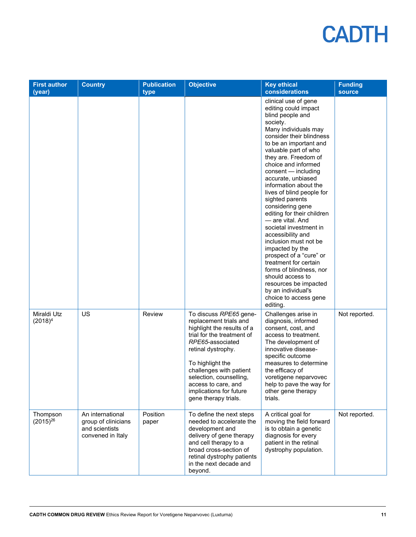| <b>First author</b><br>(year) | <b>Country</b>                                                                 | <b>Publication</b><br>type | <b>Objective</b>                                                                                                                                                                                                                                                                                           | <b>Key ethical</b><br>considerations                                                                                                                                                                                                                                                                                                                                                                                                                                                                                                                                                                                                                                                                            | <b>Funding</b><br><b>source</b> |
|-------------------------------|--------------------------------------------------------------------------------|----------------------------|------------------------------------------------------------------------------------------------------------------------------------------------------------------------------------------------------------------------------------------------------------------------------------------------------------|-----------------------------------------------------------------------------------------------------------------------------------------------------------------------------------------------------------------------------------------------------------------------------------------------------------------------------------------------------------------------------------------------------------------------------------------------------------------------------------------------------------------------------------------------------------------------------------------------------------------------------------------------------------------------------------------------------------------|---------------------------------|
|                               |                                                                                |                            |                                                                                                                                                                                                                                                                                                            | clinical use of gene<br>editing could impact<br>blind people and<br>society.<br>Many individuals may<br>consider their blindness<br>to be an important and<br>valuable part of who<br>they are. Freedom of<br>choice and informed<br>consent - including<br>accurate, unbiased<br>information about the<br>lives of blind people for<br>sighted parents<br>considering gene<br>editing for their children<br>- are vital, And<br>societal investment in<br>accessibility and<br>inclusion must not be<br>impacted by the<br>prospect of a "cure" or<br>treatment for certain<br>forms of blindness, nor<br>should access to<br>resources be impacted<br>by an individual's<br>choice to access gene<br>editing. |                                 |
| Miraldi Utz<br>$(2018)^4$     | US                                                                             | Review                     | To discuss RPE65 gene-<br>replacement trials and<br>highlight the results of a<br>trial for the treatment of<br>RPE65-associated<br>retinal dystrophy.<br>To highlight the<br>challenges with patient<br>selection, counselling,<br>access to care, and<br>implications for future<br>gene therapy trials. | Challenges arise in<br>diagnosis, informed<br>consent, cost, and<br>access to treatment.<br>The development of<br>innovative disease-<br>specific outcome<br>measures to determine<br>the efficacy of<br>voretigene neparvovec<br>help to pave the way for<br>other gene therapy<br>trials.                                                                                                                                                                                                                                                                                                                                                                                                                     | Not reported.                   |
| Thompson<br>$(2015)^{26}$     | An international<br>group of clinicians<br>and scientists<br>convened in Italy | Position<br>paper          | To define the next steps<br>needed to accelerate the<br>development and<br>delivery of gene therapy<br>and cell therapy to a<br>broad cross-section of<br>retinal dystrophy patients<br>in the next decade and<br>beyond.                                                                                  | A critical goal for<br>moving the field forward<br>is to obtain a genetic<br>diagnosis for every<br>patient in the retinal<br>dystrophy population.                                                                                                                                                                                                                                                                                                                                                                                                                                                                                                                                                             | Not reported.                   |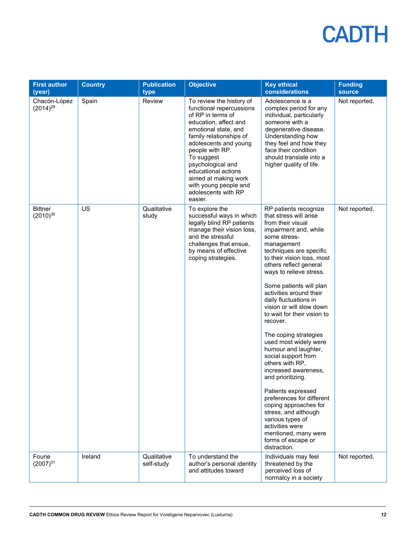| <b>First author</b><br>(year)   | <b>Country</b> | <b>Publication</b><br>type | <b>Objective</b>                                                                                                                                                                                                                                                                                                                               | <b>Key ethical</b><br>considerations                                                                                                                                                                                                                                                                                                                                                                                                                                                                                                                                                                                                                                                                                                                                      | <b>Funding</b><br>source |
|---------------------------------|----------------|----------------------------|------------------------------------------------------------------------------------------------------------------------------------------------------------------------------------------------------------------------------------------------------------------------------------------------------------------------------------------------|---------------------------------------------------------------------------------------------------------------------------------------------------------------------------------------------------------------------------------------------------------------------------------------------------------------------------------------------------------------------------------------------------------------------------------------------------------------------------------------------------------------------------------------------------------------------------------------------------------------------------------------------------------------------------------------------------------------------------------------------------------------------------|--------------------------|
| Chacón-López<br>$(2014)^{29}$   | Spain          | Review                     | To review the history of<br>functional repercussions<br>of RP in terms of<br>education, affect and<br>emotional state, and<br>family relationships of<br>adolescents and young<br>people with RP.<br>To suggest<br>psychological and<br>educational actions<br>aimed at making work<br>with young people and<br>adolescents with RP<br>easier. | Adolescence is a<br>complex period for any<br>individual, particularly<br>someone with a<br>degenerative disease.<br>Understanding how<br>they feel and how they<br>face their condition<br>should translate into a<br>higher quality of life.                                                                                                                                                                                                                                                                                                                                                                                                                                                                                                                            | Not reported.            |
| <b>Bittner</b><br>$(2010)^{30}$ | <b>US</b>      | Qualitative<br>study       | To explore the<br>successful ways in which<br>legally blind RP patients<br>manage their vision loss,<br>and the stressful<br>challenges that ensue,<br>by means of effective<br>coping strategies.                                                                                                                                             | RP patients recognize<br>that stress will arise<br>from their visual<br>impairment and, while<br>some stress-<br>management<br>techniques are specific<br>to their vision loss, most<br>others reflect general<br>ways to relieve stress.<br>Some patients will plan<br>activities around their<br>daily fluctuations in<br>vision or will slow down<br>to wait for their vision to<br>recover.<br>The coping strategies<br>used most widely were<br>humour and laughter,<br>social support from<br>others with RP,<br>increased awareness,<br>and prioritizing.<br>Patients expressed<br>preferences for different<br>coping approaches for<br>stress, and although<br>various types of<br>activities were<br>mentioned, many were<br>forms of escape or<br>distraction. | Not reported.            |
| Fourie<br>$(2007)^{31}$         | Ireland        | Qualitative<br>self-study  | To understand the<br>author's personal identity<br>and attitudes toward                                                                                                                                                                                                                                                                        | Individuals may feel<br>threatened by the<br>perceived loss of<br>normalcy in a society                                                                                                                                                                                                                                                                                                                                                                                                                                                                                                                                                                                                                                                                                   | Not reported.            |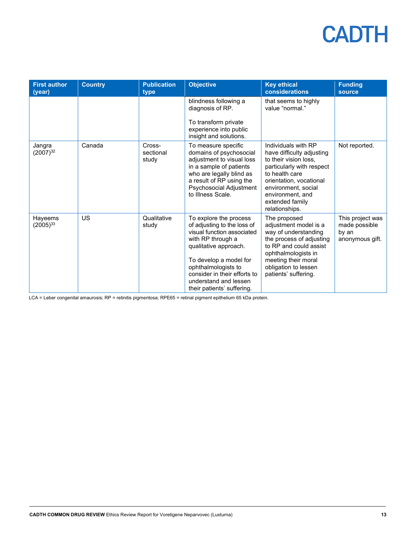| <b>First author</b><br>(year) | <b>Country</b> | <b>Publication</b><br>type   | <b>Objective</b>                                                                                                                                                                                                                                                          | <b>Key ethical</b><br>considerations                                                                                                                                                                                                | <b>Funding</b><br>source                                      |
|-------------------------------|----------------|------------------------------|---------------------------------------------------------------------------------------------------------------------------------------------------------------------------------------------------------------------------------------------------------------------------|-------------------------------------------------------------------------------------------------------------------------------------------------------------------------------------------------------------------------------------|---------------------------------------------------------------|
|                               |                |                              | blindness following a<br>diagnosis of RP.<br>To transform private<br>experience into public<br>insight and solutions.                                                                                                                                                     | that seems to highly<br>value "normal."                                                                                                                                                                                             |                                                               |
| Jangra<br>$(2007)^{32}$       | Canada         | Cross-<br>sectional<br>study | To measure specific<br>domains of psychosocial<br>adjustment to visual loss<br>in a sample of patients<br>who are legally blind as<br>a result of RP using the<br>Psychosocial Adjustment<br>to Illness Scale.                                                            | Individuals with RP<br>have difficulty adjusting<br>to their vision loss.<br>particularly with respect<br>to health care<br>orientation, vocational<br>environment, social<br>environment, and<br>extended family<br>relationships. | Not reported.                                                 |
| Hayeems<br>$(2005)^{33}$      | US             | Qualitative<br>study         | To explore the process<br>of adjusting to the loss of<br>visual function associated<br>with RP through a<br>qualitative approach.<br>To develop a model for<br>ophthalmologists to<br>consider in their efforts to<br>understand and lessen<br>their patients' suffering. | The proposed<br>adjustment model is a<br>way of understanding<br>the process of adjusting<br>to RP and could assist<br>ophthalmologists in<br>meeting their moral<br>obligation to lessen<br>patients' suffering.                   | This project was<br>made possible<br>by an<br>anonymous gift. |

LCA = Leber congenital amaurosis; RP = retinitis pigmentosa; RPE65 = retinal pigment epithelium 65 kDa protein.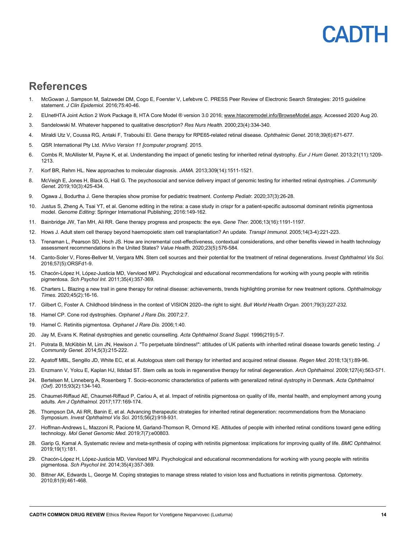### <span id="page-13-0"></span>**References**

- 1. McGowan J, Sampson M, Salzwedel DM, Cogo E, Foerster V, Lefebvre C. PRESS Peer Review of Electronic Search Strategies: 2015 guideline statement. *J Clin Epidemiol.* 2016;75:40-46.
- 2. EUnetHTA Joint Action 2 Work Package 8, HTA Core Model ® version 3.0 2016[; www.htacoremodel.info/BrowseModel.aspx.](file://cadth-shares/Proj-Ctrl_Intake/Formulary/Active/SG0643%20Luxturna/Ethics%20Review/www.htacoremodel.info/BrowseModel.aspx) Accessed 2020 Aug 20.
- 3. Sandelowski M. Whatever happened to qualitative description? *Res Nurs Health.* 2000;23(4):334-340.
- 4. Miraldi Utz V, Coussa RG, Antaki F, Traboulsi EI. Gene therapy for RPE65-related retinal disease. *Ophthalmic Genet.* 2018;39(6):671-677.
- 5. QSR International Pty Ltd. *NVivo Version 11 [computer program].* 2015.
- 6. Combs R, McAllister M, Payne K, et al. Understanding the impact of genetic testing for inherited retinal dystrophy. *Eur J Hum Genet.* 2013;21(11):1209- 1213.
- 7. Korf BR, Rehm HL. New approaches to molecular diagnosis. *JAMA.* 2013;309(14):1511-1521.
- 8. McVeigh E, Jones H, Black G, Hall G. The psychosocial and service delivery impact of genomic testing for inherited retinal dystrophies. *J Community Genet.* 2019;10(3):425-434.
- 9. Ogawa J, Bodurtha J. Gene therapies show promise for pediatric treatment. *Contemp Pediatr.* 2020;37(3):26-28.
- 10. Justus S, Zheng A, Tsai YT, et al. Genome editing in the retina: a case study in crispr for a patient-specific autosomal dominant retinitis pigmentosa model. *Genome Editing*: Springer International Publishing; 2016:149-162.
- 11. Bainbridge JW, Tan MH, Ali RR. Gene therapy progress and prospects: the eye. *Gene Ther.* 2006;13(16):1191-1197.
- 12. Hows J. Adult stem cell therapy beyond haemopoietic stem cell transplantation? An update. *Transpl Immunol.* 2005;14(3-4):221-223.
- 13. Trenaman L, Pearson SD, Hoch JS. How are incremental cost-effectiveness, contextual considerations, and other benefits viewed in health technology assessment recommendations in the United States? *Value Health.* 2020;23(5):576-584.
- 14. Canto-Soler V, Flores-Bellver M, Vergara MN. Stem cell sources and their potential for the treatment of retinal degenerations. *Invest Ophthalmol Vis Sci.*  2016;57(5):ORSFd1-9.
- 15. Chacón-López H, López-Justicia MD, Vervloed MPJ. Psychological and educational recommendations for working with young people with retinitis pigmentosa. *Sch Psychol Int.* 2011;35(4):357-369.
- 16. Charters L. Blazing a new trail in gene therapy for retinal disease: achievements, trends highlighting promise for new treatment options. *Ophthalmology Times.* 2020;45(2):16-16.
- 17. Gilbert C, Foster A. Childhood blindness in the context of VISION 2020--the right to sight. *Bull World Health Organ.* 2001;79(3):227-232.
- 18. Hamel CP. Cone rod dystrophies. *Orphanet J Rare Dis.* 2007;2:7.
- 19. Hamel C. Retinitis pigmentosa. *Orphanet J Rare Dis.* 2006;1:40.
- 20. Jay M, Evans K. Retinal dystrophies and genetic counselling. *Acta Ophthalmol Scand Suppl.* 1996(219):5-7.
- 21. Potrata B, McKibbin M, Lim JN, Hewison J. "To perpetuate blindness!": attitudes of UK patients with inherited retinal disease towards genetic testing. *J Community Genet.* 2014;5(3):215-222.
- 22. Apatoff MBL, Sengillo JD, White EC, et al. Autologous stem cell therapy for inherited and acquired retinal disease. *Regen Med.* 2018;13(1):89-96.
- 23. Enzmann V, Yolcu E, Kaplan HJ, Ildstad ST. Stem cells as tools in regenerative therapy for retinal degeneration. *Arch Ophthalmol.* 2009;127(4):563-571.
- 24. Bertelsen M, Linneberg A, Rosenberg T. Socio-economic characteristics of patients with generalized retinal dystrophy in Denmark. *Acta Ophthalmol (Oxf).* 2015;93(2):134-140.
- 25. Chaumet-Riffaud AE, Chaumet-Riffaud P, Cariou A, et al. Impact of retinitis pigmentosa on quality of life, mental health, and employment among young adults. *Am J Ophthalmol.* 2017;177:169-174.
- 26. Thompson DA, Ali RR, Banin E, et al. Advancing therapeutic strategies for inherited retinal degeneration: recommendations from the Monaciano Symposium. *Invest Ophthalmol Vis Sci.* 2015;56(2):918-931.
- 27. Hoffman-Andrews L, Mazzoni R, Pacione M, Garland-Thomson R, Ormond KE. Attitudes of people with inherited retinal conditions toward gene editing technology. *Mol Genet Genomic Med.* 2019;7(7):e00803.
- 28. Garip G, Kamal A. Systematic review and meta-synthesis of coping with retinitis pigmentosa: implications for improving quality of life. *BMC Ophthalmol.*  2019;19(1):181.
- 29. Chacón-López H, López-Justicia MD, Vervloed MPJ. Psychological and educational recommendations for working with young people with retinitis pigmentosa. *Sch Psychol Int.* 2014;35(4):357-369.
- 30. Bittner AK, Edwards L, George M. Coping strategies to manage stress related to vision loss and fluctuations in retinitis pigmentosa. *Optometry.*  2010;81(9):461-468.